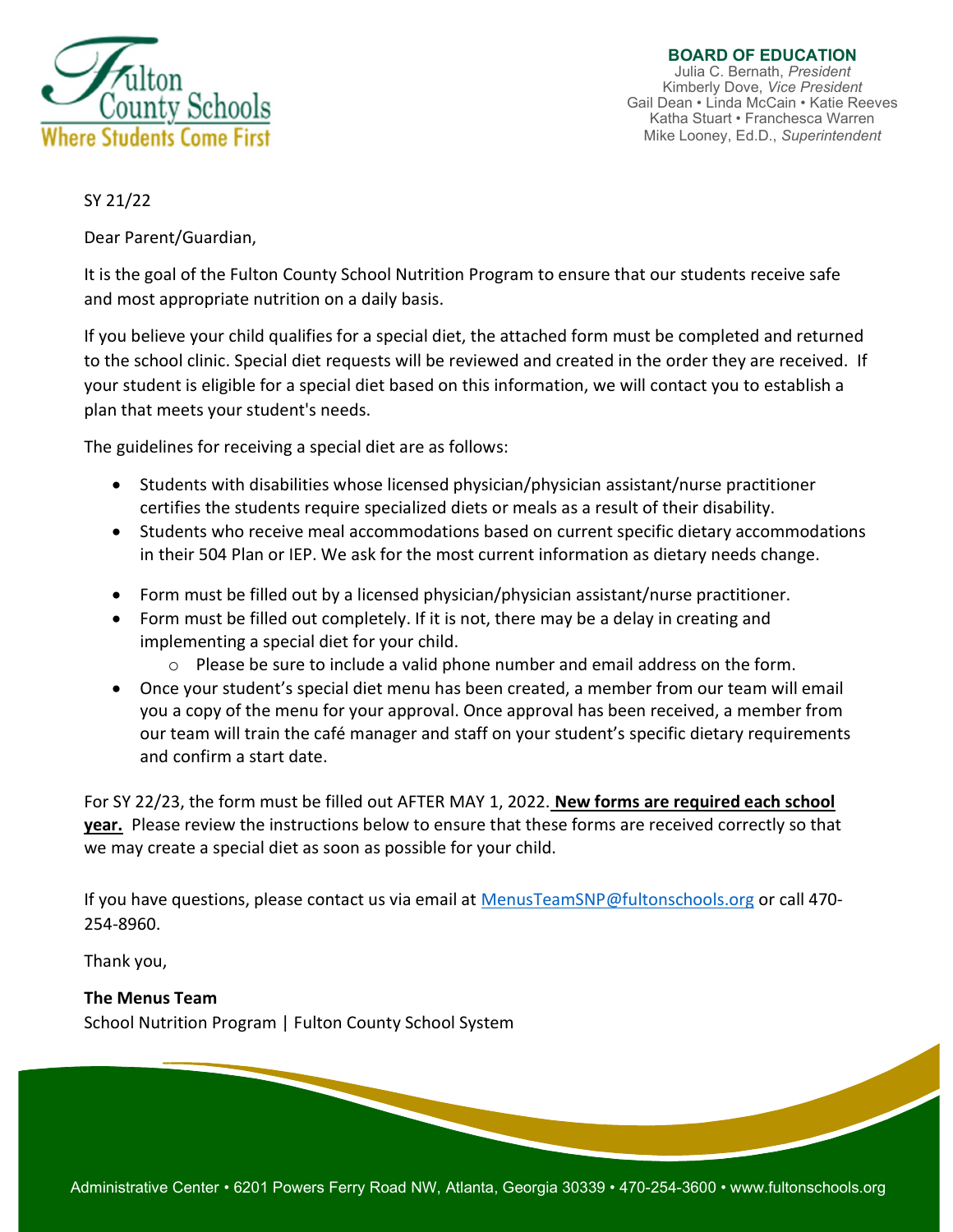

BOARD OF EDUCATION Julia C. Bernath, President Kimberly Dove, Vice President Gail Dean • Linda McCain • Katie Reeves Katha Stuart • Franchesca Warren Mike Looney, Ed.D., Superintendent

# SY 21/22

Dear Parent/Guardian,

It is the goal of the Fulton County School Nutrition Program to ensure that our students receive safe and most appropriate nutrition on a daily basis.

If you believe your child qualifies for a special diet, the attached form must be completed and returned to the school clinic. Special diet requests will be reviewed and created in the order they are received. If your student is eligible for a special diet based on this information, we will contact you to establish a plan that meets your student's needs.

The guidelines for receiving a special diet are as follows:

- Students with disabilities whose licensed physician/physician assistant/nurse practitioner certifies the students require specialized diets or meals as a result of their disability.
- Students who receive meal accommodations based on current specific dietary accommodations in their 504 Plan or IEP. We ask for the most current information as dietary needs change.
- Form must be filled out by a licensed physician/physician assistant/nurse practitioner.
- Form must be filled out completely. If it is not, there may be a delay in creating and implementing a special diet for your child.
	- $\circ$  Please be sure to include a valid phone number and email address on the form.
- Once your student's special diet menu has been created, a member from our team will email you a copy of the menu for your approval. Once approval has been received, a member from our team will train the café manager and staff on your student's specific dietary requirements and confirm a start date.

For SY 22/23, the form must be filled out AFTER MAY 1, 2022. **New forms are required each school** year. Please review the instructions below to ensure that these forms are received correctly so that we may create a special diet as soon as possible for your child.

If you have questions, please contact us via email at MenusTeamSNP@fultonschools.org or call 470- 254-8960.

Thank you,

# The Menus Team

School Nutrition Program | Fulton County School System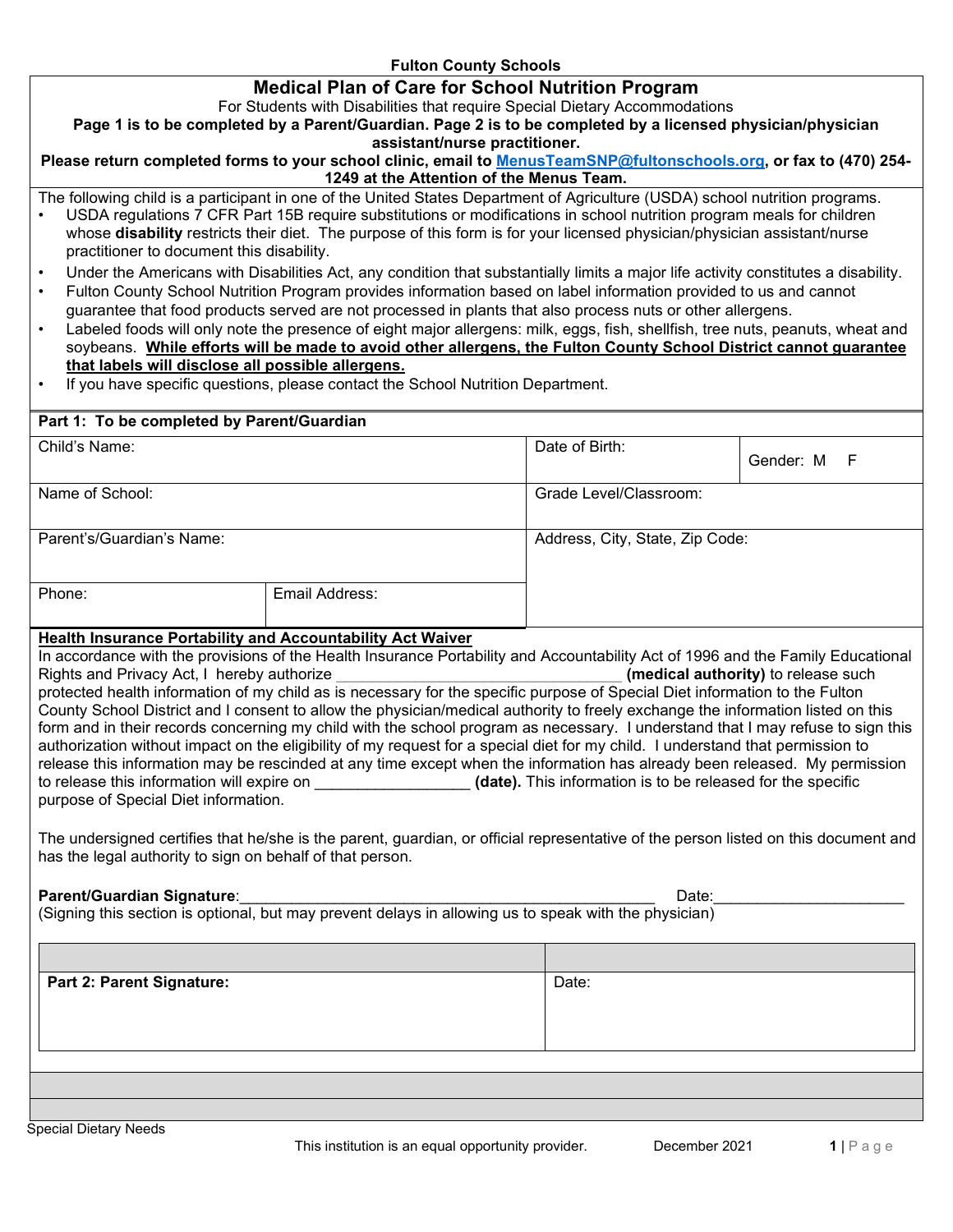## **Fulton County Schools**

## **Medical Plan of Care for School Nutrition Program**

For Students with Disabilities that require Special Dietary Accommodations

**Page 1 is to be completed by a Parent/Guardian. Page 2 is to be completed by a licensed physician/physician assistant/nurse practitioner.** 

**Please return completed forms to your school clinic, email to [MenusTeamSNP@fultonschools.org,](mailto:MenusTeamSNP@fultonschools.org) or fax to (470) 254- 1249 at the Attention of the Menus Team.** 

The following child is a participant in one of the United States Department of Agriculture (USDA) school nutrition programs. • USDA regulations 7 CFR Part 15B require substitutions or modifications in school nutrition program meals for children

- whose **disability** restricts their diet. The purpose of this form is for your licensed physician/physician assistant/nurse practitioner to document this disability.
- Under the Americans with Disabilities Act, any condition that substantially limits a major life activity constitutes a disability.
- Fulton County School Nutrition Program provides information based on label information provided to us and cannot guarantee that food products served are not processed in plants that also process nuts or other allergens.
- Labeled foods will only note the presence of eight major allergens: milk, eggs, fish, shellfish, tree nuts, peanuts, wheat and soybeans. **While efforts will be made to avoid other allergens, the Fulton County School District cannot guarantee that labels will disclose all possible allergens.**
- If you have specific questions, please contact the School Nutrition Department.

| Part 1: To be completed by Parent/Guardian                                                 |                |                        |                                 |  |
|--------------------------------------------------------------------------------------------|----------------|------------------------|---------------------------------|--|
| Child's Name:                                                                              |                | Date of Birth:         | Gender: M F                     |  |
| Name of School:                                                                            |                | Grade Level/Classroom: |                                 |  |
| Parent's/Guardian's Name:                                                                  |                |                        | Address, City, State, Zip Code: |  |
| Phone:                                                                                     | Email Address: |                        |                                 |  |
| <b>The chair theorem can be the catch that could be a constant that can cattle theorem</b> |                |                        |                                 |  |

### **Health Insurance Portability and Accountability Act Waiver**

In accordance with the provisions of the Health Insurance Portability and Accountability Act of 1996 and the Family Educational<br>Rights and Privacy Act, I hereby authorize Rights and Privacy Act, I hereby authorize protected health information of my child as is necessary for the specific purpose of Special Diet information to the Fulton County School District and I consent to allow the physician/medical authority to freely exchange the information listed on this form and in their records concerning my child with the school program as necessary. I understand that I may refuse to sign this authorization without impact on the eligibility of my request for a special diet for my child. I understand that permission to release this information may be rescinded at any time except when the information has already been released. My permission to release this information will expire on **the set of the set of the set of the specific** to released for the specific purpose of Special Diet information.

The undersigned certifies that he/she is the parent, guardian, or official representative of the person listed on this document and has the legal authority to sign on behalf of that person.

#### **Parent/Guardian Signature**:\_\_\_\_\_\_\_\_\_\_\_\_\_\_\_\_\_\_\_\_\_\_\_\_\_\_\_\_\_\_\_\_\_\_\_\_\_\_\_\_\_\_\_\_\_\_\_\_ Date:\_\_\_\_\_\_\_\_\_\_\_\_\_\_\_\_\_\_\_\_\_\_

(Signing this section is optional, but may prevent delays in allowing us to speak with the physician)

**Part 2: Parent Signature: Contract Part 2: Parent Signature: Date: Date:**